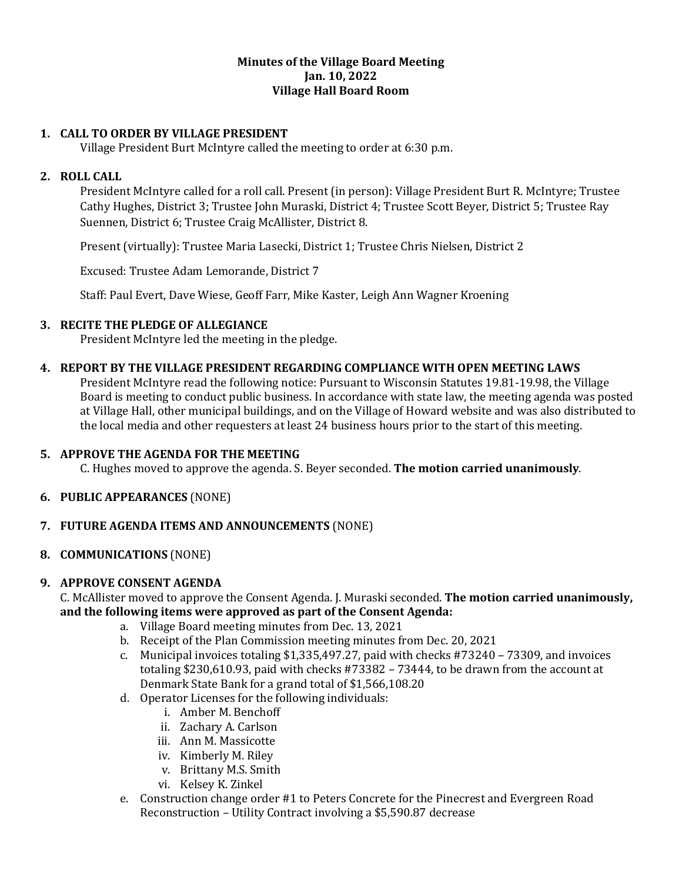#### **Minutes of the Village Board Meeting Jan. 10, 2022 Village Hall Board Room**

# **1. CALL TO ORDER BY VILLAGE PRESIDENT**

Village President Burt McIntyre called the meeting to order at 6:30 p.m.

### **2. ROLL CALL**

President McIntyre called for a roll call. Present (in person): Village President Burt R. McIntyre; Trustee Cathy Hughes, District 3; Trustee John Muraski, District 4; Trustee Scott Beyer, District 5; Trustee Ray Suennen, District 6; Trustee Craig McAllister, District 8.

Present (virtually): Trustee Maria Lasecki, District 1; Trustee Chris Nielsen, District 2

Excused: Trustee Adam Lemorande, District 7

Staff: Paul Evert, Dave Wiese, Geoff Farr, Mike Kaster, Leigh Ann Wagner Kroening

## **3. RECITE THE PLEDGE OF ALLEGIANCE**

President McIntyre led the meeting in the pledge.

## **4. REPORT BY THE VILLAGE PRESIDENT REGARDING COMPLIANCE WITH OPEN MEETING LAWS**

President McIntyre read the following notice: Pursuant to Wisconsin Statutes 19.81-19.98, the Village Board is meeting to conduct public business. In accordance with state law, the meeting agenda was posted at Village Hall, other municipal buildings, and on the Village of Howard website and was also distributed to the local media and other requesters at least 24 business hours prior to the start of this meeting.

### **5. APPROVE THE AGENDA FOR THE MEETING**

C. Hughes moved to approve the agenda. S. Beyer seconded. **The motion carried unanimously**.

### **6. PUBLIC APPEARANCES** (NONE)

# **7. FUTURE AGENDA ITEMS AND ANNOUNCEMENTS** (NONE)

### **8. COMMUNICATIONS** (NONE)

### **9. APPROVE CONSENT AGENDA**

C. McAllister moved to approve the Consent Agenda. J. Muraski seconded. **The motion carried unanimously, and the following items were approved as part of the Consent Agenda:**

- a. Village Board meeting minutes from Dec. 13, 2021
- b. Receipt of the Plan Commission meeting minutes from Dec. 20, 2021
- c. Municipal invoices totaling \$1,335,497.27, paid with checks #73240 73309, and invoices totaling \$230,610.93, paid with checks #73382 – 73444, to be drawn from the account at Denmark State Bank for a grand total of \$1,566,108.20
- d. Operator Licenses for the following individuals:
	- i. Amber M. Benchoff
	- ii. Zachary A. Carlson
	- iii. Ann M. Massicotte
	- iv. Kimberly M. Riley
	- v. Brittany M.S. Smith
	- vi. Kelsey K. Zinkel
- e. Construction change order #1 to Peters Concrete for the Pinecrest and Evergreen Road Reconstruction – Utility Contract involving a \$5,590.87 decrease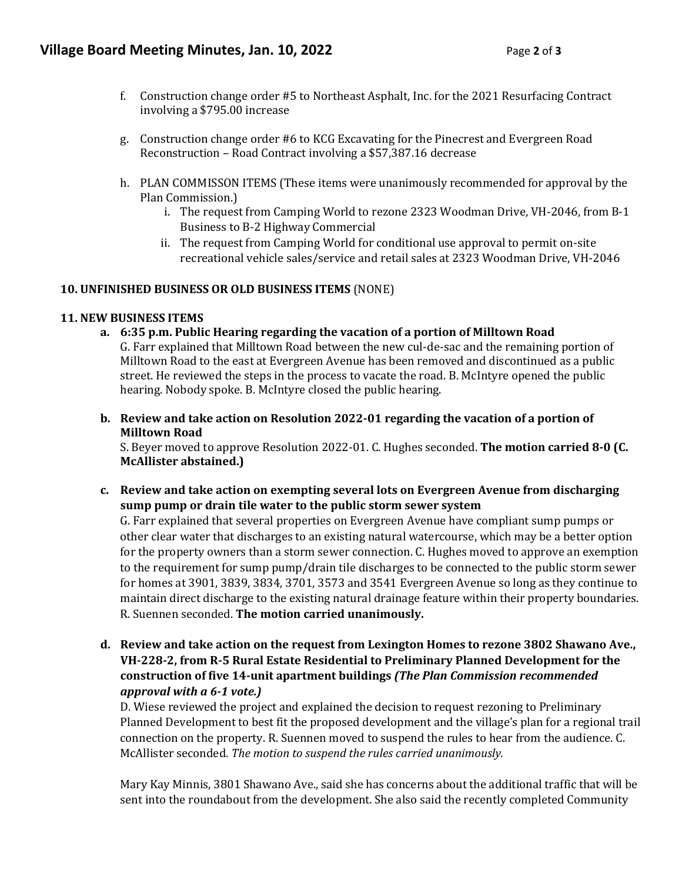- f. Construction change order #5 to Northeast Asphalt, Inc. for the 2021 Resurfacing Contract involving a \$795.00 increase
- g. Construction change order #6 to KCG Excavating for the Pinecrest and Evergreen Road Reconstruction – Road Contract involving a \$57,387.16 decrease
- h. PLAN COMMISSON ITEMS (These items were unanimously recommended for approval by the Plan Commission.)
	- i. The request from Camping World to rezone 2323 Woodman Drive, VH-2046, from B-1 Business to B-2 Highway Commercial
	- ii. The request from Camping World for conditional use approval to permit on-site recreational vehicle sales/service and retail sales at 2323 Woodman Drive, VH-2046

### **10. UNFINISHED BUSINESS OR OLD BUSINESS ITEMS** (NONE)

#### **11. NEW BUSINESS ITEMS**

- **a. 6:35 p.m. Public Hearing regarding the vacation of a portion of Milltown Road**  G. Farr explained that Milltown Road between the new cul-de-sac and the remaining portion of Milltown Road to the east at Evergreen Avenue has been removed and discontinued as a public street. He reviewed the steps in the process to vacate the road. B. McIntyre opened the public hearing. Nobody spoke. B. McIntyre closed the public hearing.
- **b. Review and take action on Resolution 2022-01 regarding the vacation of a portion of Milltown Road**

S. Beyer moved to approve Resolution 2022-01. C. Hughes seconded. **The motion carried 8-0 (C. McAllister abstained.)** 

**c. Review and take action on exempting several lots on Evergreen Avenue from discharging sump pump or drain tile water to the public storm sewer system** 

G. Farr explained that several properties on Evergreen Avenue have compliant sump pumps or other clear water that discharges to an existing natural watercourse, which may be a better option for the property owners than a storm sewer connection. C. Hughes moved to approve an exemption to the requirement for sump pump/drain tile discharges to be connected to the public storm sewer for homes at 3901, 3839, 3834, 3701, 3573 and 3541 Evergreen Avenue so long as they continue to maintain direct discharge to the existing natural drainage feature within their property boundaries. R. Suennen seconded. **The motion carried unanimously.** 

**d. Review and take action on the request from Lexington Homes to rezone 3802 Shawano Ave., VH-228-2, from R-5 Rural Estate Residential to Preliminary Planned Development for the construction of five 14-unit apartment buildings** *(The Plan Commission recommended approval with a 6-1 vote.)*

D. Wiese reviewed the project and explained the decision to request rezoning to Preliminary Planned Development to best fit the proposed development and the village's plan for a regional trail connection on the property. R. Suennen moved to suspend the rules to hear from the audience. C. McAllister seconded. *The motion to suspend the rules carried unanimously.*

Mary Kay Minnis, 3801 Shawano Ave., said she has concerns about the additional traffic that will be sent into the roundabout from the development. She also said the recently completed Community